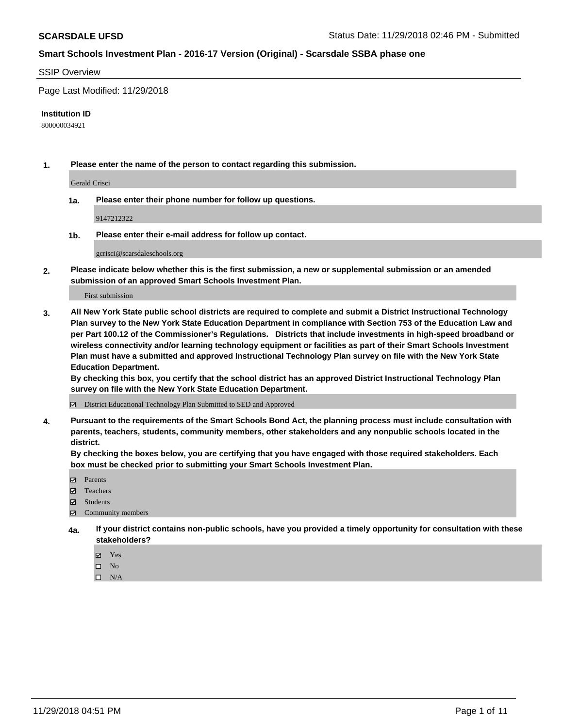## SSIP Overview

Page Last Modified: 11/29/2018

#### **Institution ID**

800000034921

**1. Please enter the name of the person to contact regarding this submission.**

Gerald Crisci

**1a. Please enter their phone number for follow up questions.**

9147212322

**1b. Please enter their e-mail address for follow up contact.**

gcrisci@scarsdaleschools.org

**2. Please indicate below whether this is the first submission, a new or supplemental submission or an amended submission of an approved Smart Schools Investment Plan.**

First submission

**3. All New York State public school districts are required to complete and submit a District Instructional Technology Plan survey to the New York State Education Department in compliance with Section 753 of the Education Law and per Part 100.12 of the Commissioner's Regulations. Districts that include investments in high-speed broadband or wireless connectivity and/or learning technology equipment or facilities as part of their Smart Schools Investment Plan must have a submitted and approved Instructional Technology Plan survey on file with the New York State Education Department.** 

**By checking this box, you certify that the school district has an approved District Instructional Technology Plan survey on file with the New York State Education Department.**

District Educational Technology Plan Submitted to SED and Approved

**4. Pursuant to the requirements of the Smart Schools Bond Act, the planning process must include consultation with parents, teachers, students, community members, other stakeholders and any nonpublic schools located in the district.** 

**By checking the boxes below, you are certifying that you have engaged with those required stakeholders. Each box must be checked prior to submitting your Smart Schools Investment Plan.**

- **□** Parents
- Teachers
- Students
- $\boxtimes$  Community members
- **4a. If your district contains non-public schools, have you provided a timely opportunity for consultation with these stakeholders?**
	- Yes
	- $\qquad \qquad$  No
	- $\square$  N/A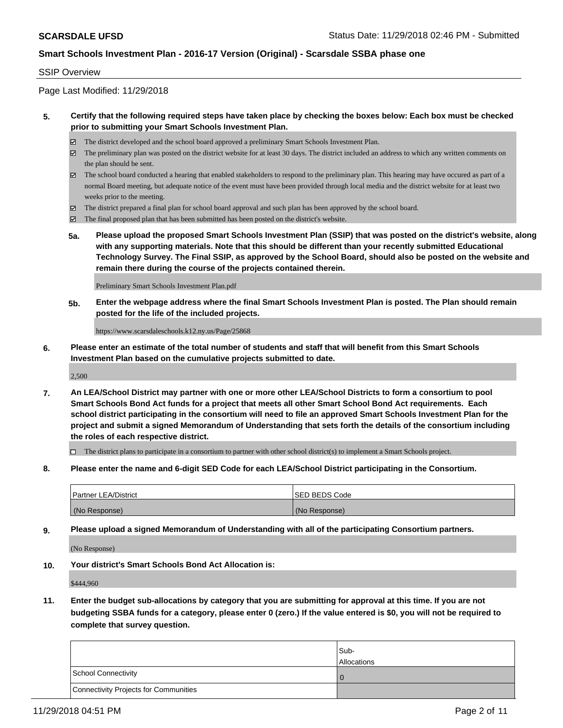### SSIP Overview

Page Last Modified: 11/29/2018

## **5. Certify that the following required steps have taken place by checking the boxes below: Each box must be checked prior to submitting your Smart Schools Investment Plan.**

- The district developed and the school board approved a preliminary Smart Schools Investment Plan.
- $\boxtimes$  The preliminary plan was posted on the district website for at least 30 days. The district included an address to which any written comments on the plan should be sent.
- $\boxtimes$  The school board conducted a hearing that enabled stakeholders to respond to the preliminary plan. This hearing may have occured as part of a normal Board meeting, but adequate notice of the event must have been provided through local media and the district website for at least two weeks prior to the meeting.
- The district prepared a final plan for school board approval and such plan has been approved by the school board.
- $\boxtimes$  The final proposed plan that has been submitted has been posted on the district's website.
- **5a. Please upload the proposed Smart Schools Investment Plan (SSIP) that was posted on the district's website, along with any supporting materials. Note that this should be different than your recently submitted Educational Technology Survey. The Final SSIP, as approved by the School Board, should also be posted on the website and remain there during the course of the projects contained therein.**

Preliminary Smart Schools Investment Plan.pdf

**5b. Enter the webpage address where the final Smart Schools Investment Plan is posted. The Plan should remain posted for the life of the included projects.**

https://www.scarsdaleschools.k12.ny.us/Page/25868

**6. Please enter an estimate of the total number of students and staff that will benefit from this Smart Schools Investment Plan based on the cumulative projects submitted to date.**

2,500

**7. An LEA/School District may partner with one or more other LEA/School Districts to form a consortium to pool Smart Schools Bond Act funds for a project that meets all other Smart School Bond Act requirements. Each school district participating in the consortium will need to file an approved Smart Schools Investment Plan for the project and submit a signed Memorandum of Understanding that sets forth the details of the consortium including the roles of each respective district.**

 $\Box$  The district plans to participate in a consortium to partner with other school district(s) to implement a Smart Schools project.

**8. Please enter the name and 6-digit SED Code for each LEA/School District participating in the Consortium.**

| <b>Partner LEA/District</b> | <b>ISED BEDS Code</b> |
|-----------------------------|-----------------------|
| (No Response)               | (No Response)         |

**9. Please upload a signed Memorandum of Understanding with all of the participating Consortium partners.**

(No Response)

**10. Your district's Smart Schools Bond Act Allocation is:**

\$444,960

**11. Enter the budget sub-allocations by category that you are submitting for approval at this time. If you are not budgeting SSBA funds for a category, please enter 0 (zero.) If the value entered is \$0, you will not be required to complete that survey question.**

|                                              | Sub-<br><b>Allocations</b> |
|----------------------------------------------|----------------------------|
| <b>School Connectivity</b>                   |                            |
| <b>Connectivity Projects for Communities</b> |                            |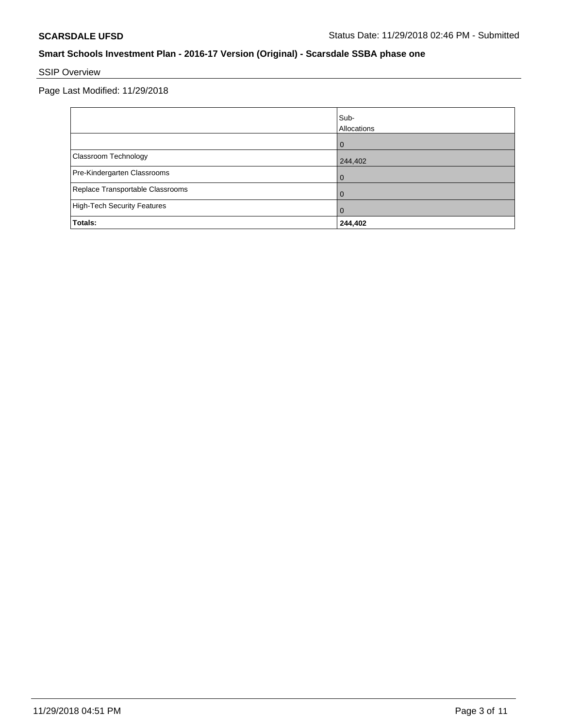# SSIP Overview

Page Last Modified: 11/29/2018

|                                    | Sub-<br>Allocations |
|------------------------------------|---------------------|
|                                    | $\Omega$            |
| Classroom Technology               | 244,402             |
| Pre-Kindergarten Classrooms        | 0                   |
| Replace Transportable Classrooms   | O                   |
| <b>High-Tech Security Features</b> | 0                   |
| Totals:                            | 244,402             |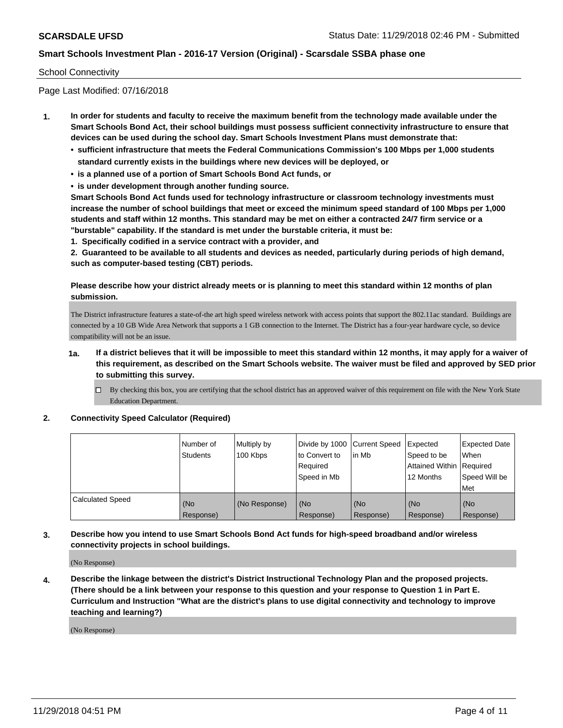### School Connectivity

Page Last Modified: 07/16/2018

- **1. In order for students and faculty to receive the maximum benefit from the technology made available under the Smart Schools Bond Act, their school buildings must possess sufficient connectivity infrastructure to ensure that devices can be used during the school day. Smart Schools Investment Plans must demonstrate that:**
	- **• sufficient infrastructure that meets the Federal Communications Commission's 100 Mbps per 1,000 students standard currently exists in the buildings where new devices will be deployed, or**
	- **• is a planned use of a portion of Smart Schools Bond Act funds, or**
	- **• is under development through another funding source.**

**Smart Schools Bond Act funds used for technology infrastructure or classroom technology investments must increase the number of school buildings that meet or exceed the minimum speed standard of 100 Mbps per 1,000 students and staff within 12 months. This standard may be met on either a contracted 24/7 firm service or a "burstable" capability. If the standard is met under the burstable criteria, it must be:**

**1. Specifically codified in a service contract with a provider, and**

**2. Guaranteed to be available to all students and devices as needed, particularly during periods of high demand, such as computer-based testing (CBT) periods.**

## **Please describe how your district already meets or is planning to meet this standard within 12 months of plan submission.**

The District infrastructure features a state-of-the art high speed wireless network with access points that support the 802.11ac standard. Buildings are connected by a 10 GB Wide Area Network that supports a 1 GB connection to the Internet. The District has a four-year hardware cycle, so device compatibility will not be an issue.

- **1a. If a district believes that it will be impossible to meet this standard within 12 months, it may apply for a waiver of this requirement, as described on the Smart Schools website. The waiver must be filed and approved by SED prior to submitting this survey.**
	- By checking this box, you are certifying that the school district has an approved waiver of this requirement on file with the New York State Education Department.

### **2. Connectivity Speed Calculator (Required)**

|                         | Number of<br>Students | Multiply by<br>100 Kbps | Divide by 1000 Current Speed<br>to Convert to<br>Required<br>l Speed in Mb | lin Mb           | Expected<br>Speed to be<br><b>Attained Within Required</b><br>12 Months | <b>Expected Date</b><br>When<br>Speed Will be<br><b>Met</b> |
|-------------------------|-----------------------|-------------------------|----------------------------------------------------------------------------|------------------|-------------------------------------------------------------------------|-------------------------------------------------------------|
| <b>Calculated Speed</b> | (No<br>Response)      | (No Response)           | (No<br>Response)                                                           | (No<br>Response) | l (No<br>Response)                                                      | (No<br>Response)                                            |

## **3. Describe how you intend to use Smart Schools Bond Act funds for high-speed broadband and/or wireless connectivity projects in school buildings.**

(No Response)

**4. Describe the linkage between the district's District Instructional Technology Plan and the proposed projects. (There should be a link between your response to this question and your response to Question 1 in Part E. Curriculum and Instruction "What are the district's plans to use digital connectivity and technology to improve teaching and learning?)**

(No Response)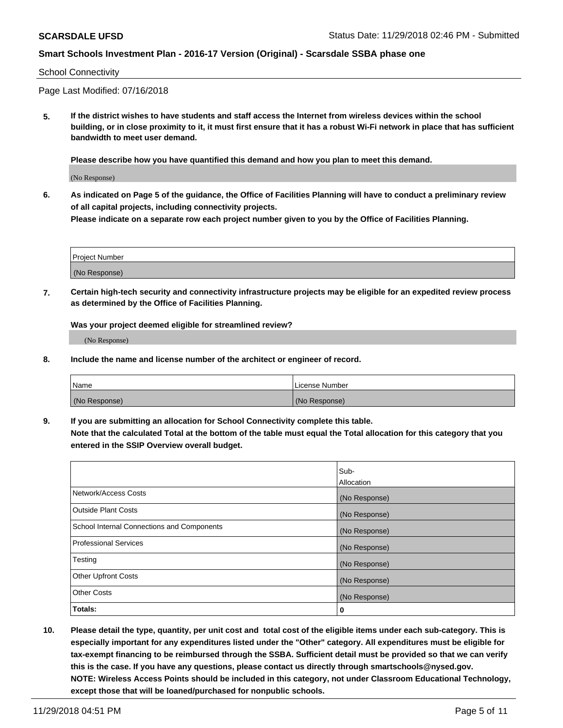#### School Connectivity

Page Last Modified: 07/16/2018

**5. If the district wishes to have students and staff access the Internet from wireless devices within the school building, or in close proximity to it, it must first ensure that it has a robust Wi-Fi network in place that has sufficient bandwidth to meet user demand.**

**Please describe how you have quantified this demand and how you plan to meet this demand.**

(No Response)

**6. As indicated on Page 5 of the guidance, the Office of Facilities Planning will have to conduct a preliminary review of all capital projects, including connectivity projects.**

**Please indicate on a separate row each project number given to you by the Office of Facilities Planning.**

| <b>Project Number</b> |  |
|-----------------------|--|
| (No Response)         |  |

**7. Certain high-tech security and connectivity infrastructure projects may be eligible for an expedited review process as determined by the Office of Facilities Planning.**

**Was your project deemed eligible for streamlined review?**

(No Response)

**8. Include the name and license number of the architect or engineer of record.**

| 'Name         | License Number |
|---------------|----------------|
| (No Response) | (No Response)  |

**9. If you are submitting an allocation for School Connectivity complete this table. Note that the calculated Total at the bottom of the table must equal the Total allocation for this category that you entered in the SSIP Overview overall budget.** 

|                                            | Sub-<br>Allocation |
|--------------------------------------------|--------------------|
| Network/Access Costs                       | (No Response)      |
| Outside Plant Costs                        | (No Response)      |
| School Internal Connections and Components | (No Response)      |
| Professional Services                      | (No Response)      |
| Testing                                    | (No Response)      |
| <b>Other Upfront Costs</b>                 | (No Response)      |
| <b>Other Costs</b>                         | (No Response)      |
| Totals:                                    | 0                  |

**10. Please detail the type, quantity, per unit cost and total cost of the eligible items under each sub-category. This is especially important for any expenditures listed under the "Other" category. All expenditures must be eligible for tax-exempt financing to be reimbursed through the SSBA. Sufficient detail must be provided so that we can verify this is the case. If you have any questions, please contact us directly through smartschools@nysed.gov. NOTE: Wireless Access Points should be included in this category, not under Classroom Educational Technology, except those that will be loaned/purchased for nonpublic schools.**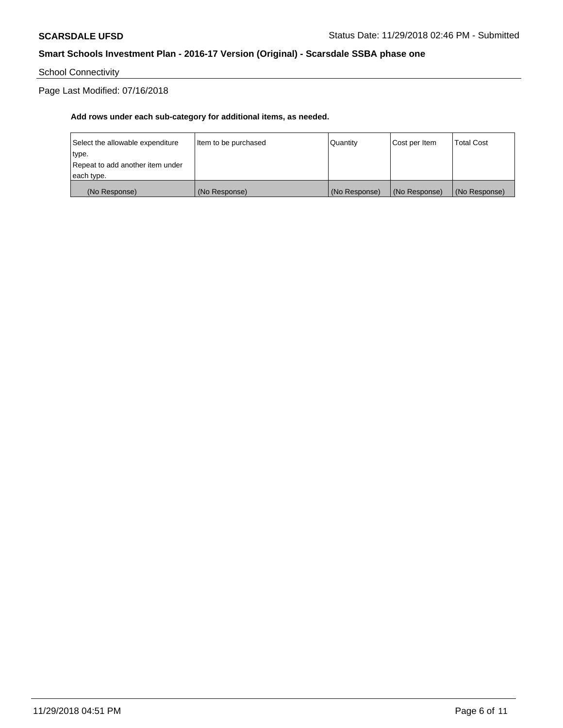School Connectivity

Page Last Modified: 07/16/2018

## **Add rows under each sub-category for additional items, as needed.**

| Repeat to add another item under<br> each type. |                      |            |               |                   |
|-------------------------------------------------|----------------------|------------|---------------|-------------------|
| type.                                           |                      |            |               |                   |
| Select the allowable expenditure                | Item to be purchased | l Quantitv | Cost per Item | <b>Total Cost</b> |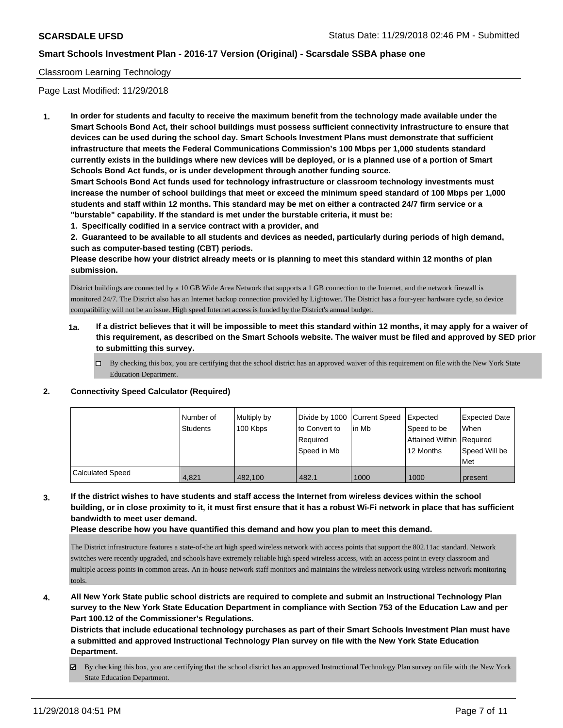### Classroom Learning Technology

Page Last Modified: 11/29/2018

**1. In order for students and faculty to receive the maximum benefit from the technology made available under the Smart Schools Bond Act, their school buildings must possess sufficient connectivity infrastructure to ensure that devices can be used during the school day. Smart Schools Investment Plans must demonstrate that sufficient infrastructure that meets the Federal Communications Commission's 100 Mbps per 1,000 students standard currently exists in the buildings where new devices will be deployed, or is a planned use of a portion of Smart Schools Bond Act funds, or is under development through another funding source.**

**Smart Schools Bond Act funds used for technology infrastructure or classroom technology investments must increase the number of school buildings that meet or exceed the minimum speed standard of 100 Mbps per 1,000 students and staff within 12 months. This standard may be met on either a contracted 24/7 firm service or a "burstable" capability. If the standard is met under the burstable criteria, it must be:**

**1. Specifically codified in a service contract with a provider, and**

**2. Guaranteed to be available to all students and devices as needed, particularly during periods of high demand, such as computer-based testing (CBT) periods.**

**Please describe how your district already meets or is planning to meet this standard within 12 months of plan submission.**

District buildings are connected by a 10 GB Wide Area Network that supports a 1 GB connection to the Internet, and the network firewall is monitored 24/7. The District also has an Internet backup connection provided by Lightower. The District has a four-year hardware cycle, so device compatibility will not be an issue. High speed Internet access is funded by the District's annual budget.

- **1a. If a district believes that it will be impossible to meet this standard within 12 months, it may apply for a waiver of this requirement, as described on the Smart Schools website. The waiver must be filed and approved by SED prior to submitting this survey.**
	- By checking this box, you are certifying that the school district has an approved waiver of this requirement on file with the New York State Education Department.

## **2. Connectivity Speed Calculator (Required)**

|                         | Number of<br>Students | Multiply by<br>100 Kbps | Divide by 1000 Current Speed<br>to Convert to<br>Reauired<br>Speed in Mb | l in Mb | Expected<br>Speed to be<br>Attained Within   Required<br>12 Months | <b>Expected Date</b><br>When<br>Speed Will be |
|-------------------------|-----------------------|-------------------------|--------------------------------------------------------------------------|---------|--------------------------------------------------------------------|-----------------------------------------------|
|                         |                       |                         |                                                                          |         |                                                                    | Met                                           |
| <b>Calculated Speed</b> | 4,821                 | 482.100                 | 482.1                                                                    | 1000    | 1000                                                               | present                                       |

**3. If the district wishes to have students and staff access the Internet from wireless devices within the school building, or in close proximity to it, it must first ensure that it has a robust Wi-Fi network in place that has sufficient bandwidth to meet user demand.**

**Please describe how you have quantified this demand and how you plan to meet this demand.**

The District infrastructure features a state-of-the art high speed wireless network with access points that support the 802.11ac standard. Network switches were recently upgraded, and schools have extremely reliable high speed wireless access, with an access point in every classroom and multiple access points in common areas. An in-house network staff monitors and maintains the wireless network using wireless network monitoring tools.

**4. All New York State public school districts are required to complete and submit an Instructional Technology Plan survey to the New York State Education Department in compliance with Section 753 of the Education Law and per Part 100.12 of the Commissioner's Regulations.**

**Districts that include educational technology purchases as part of their Smart Schools Investment Plan must have a submitted and approved Instructional Technology Plan survey on file with the New York State Education Department.**

By checking this box, you are certifying that the school district has an approved Instructional Technology Plan survey on file with the New York State Education Department.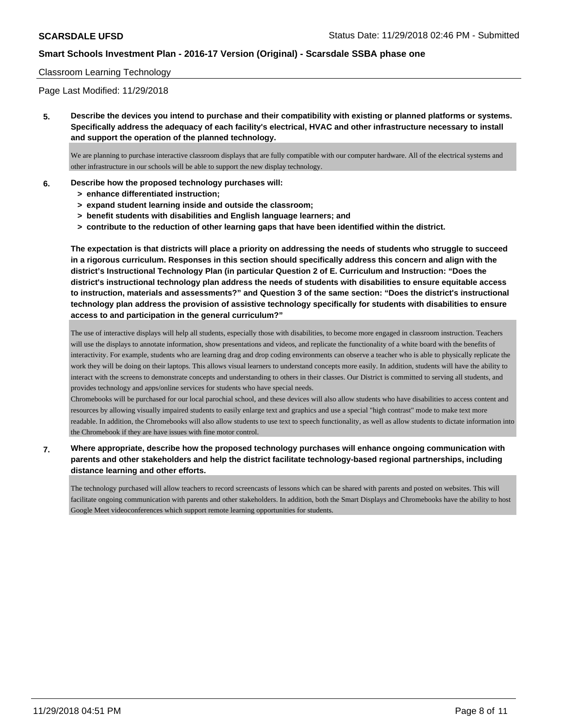### Classroom Learning Technology

Page Last Modified: 11/29/2018

**5. Describe the devices you intend to purchase and their compatibility with existing or planned platforms or systems. Specifically address the adequacy of each facility's electrical, HVAC and other infrastructure necessary to install and support the operation of the planned technology.**

We are planning to purchase interactive classroom displays that are fully compatible with our computer hardware. All of the electrical systems and other infrastructure in our schools will be able to support the new display technology.

#### **6. Describe how the proposed technology purchases will:**

- **> enhance differentiated instruction;**
- **> expand student learning inside and outside the classroom;**
- **> benefit students with disabilities and English language learners; and**
- **> contribute to the reduction of other learning gaps that have been identified within the district.**

**The expectation is that districts will place a priority on addressing the needs of students who struggle to succeed in a rigorous curriculum. Responses in this section should specifically address this concern and align with the district's Instructional Technology Plan (in particular Question 2 of E. Curriculum and Instruction: "Does the district's instructional technology plan address the needs of students with disabilities to ensure equitable access to instruction, materials and assessments?" and Question 3 of the same section: "Does the district's instructional technology plan address the provision of assistive technology specifically for students with disabilities to ensure access to and participation in the general curriculum?"**

The use of interactive displays will help all students, especially those with disabilities, to become more engaged in classroom instruction. Teachers will use the displays to annotate information, show presentations and videos, and replicate the functionality of a white board with the benefits of interactivity. For example, students who are learning drag and drop coding environments can observe a teacher who is able to physically replicate the work they will be doing on their laptops. This allows visual learners to understand concepts more easily. In addition, students will have the ability to interact with the screens to demonstrate concepts and understanding to others in their classes. Our District is committed to serving all students, and provides technology and apps/online services for students who have special needs.

Chromebooks will be purchased for our local parochial school, and these devices will also allow students who have disabilities to access content and resources by allowing visually impaired students to easily enlarge text and graphics and use a special "high contrast" mode to make text more readable. In addition, the Chromebooks will also allow students to use text to speech functionality, as well as allow students to dictate information into the Chromebook if they are have issues with fine motor control.

## **7. Where appropriate, describe how the proposed technology purchases will enhance ongoing communication with parents and other stakeholders and help the district facilitate technology-based regional partnerships, including distance learning and other efforts.**

The technology purchased will allow teachers to record screencasts of lessons which can be shared with parents and posted on websites. This will facilitate ongoing communication with parents and other stakeholders. In addition, both the Smart Displays and Chromebooks have the ability to host Google Meet videoconferences which support remote learning opportunities for students.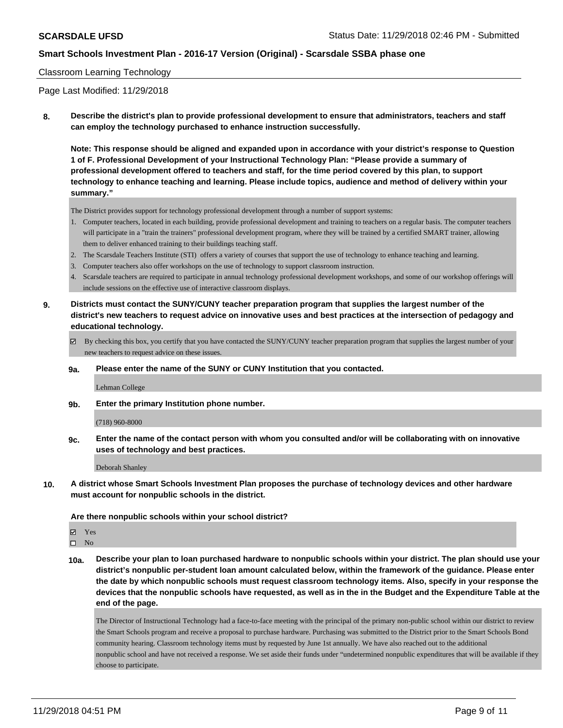### Classroom Learning Technology

Page Last Modified: 11/29/2018

**8. Describe the district's plan to provide professional development to ensure that administrators, teachers and staff can employ the technology purchased to enhance instruction successfully.**

**Note: This response should be aligned and expanded upon in accordance with your district's response to Question 1 of F. Professional Development of your Instructional Technology Plan: "Please provide a summary of professional development offered to teachers and staff, for the time period covered by this plan, to support technology to enhance teaching and learning. Please include topics, audience and method of delivery within your summary."**

The District provides support for technology professional development through a number of support systems:

- 1. Computer teachers, located in each building, provide professional development and training to teachers on a regular basis. The computer teachers will participate in a "train the trainers" professional development program, where they will be trained by a certified SMART trainer, allowing them to deliver enhanced training to their building s teaching staff.
- 2. The Scarsdale Teachers Institute (STI) offers a variety of courses that support the use of technology to enhance teaching and learning.
- 3. Computer teachers also offer workshops on the use of technology to support classroom instruction.
- 4. Scarsdale teachers are required to participate in annual technology professional development workshops, and some of our workshop offerings will include sessions on the effective use of interactive classroom displays.
- **9. Districts must contact the SUNY/CUNY teacher preparation program that supplies the largest number of the district's new teachers to request advice on innovative uses and best practices at the intersection of pedagogy and educational technology.**
	- By checking this box, you certify that you have contacted the SUNY/CUNY teacher preparation program that supplies the largest number of your new teachers to request advice on these issues.
	- **9a. Please enter the name of the SUNY or CUNY Institution that you contacted.**

Lehman College

**9b. Enter the primary Institution phone number.**

(718) 960-8000

**9c. Enter the name of the contact person with whom you consulted and/or will be collaborating with on innovative uses of technology and best practices.**

Deborah Shanley

**10. A district whose Smart Schools Investment Plan proposes the purchase of technology devices and other hardware must account for nonpublic schools in the district.**

**Are there nonpublic schools within your school district?**

Yes

 $\square$  No

**10a. Describe your plan to loan purchased hardware to nonpublic schools within your district. The plan should use your district's nonpublic per-student loan amount calculated below, within the framework of the guidance. Please enter the date by which nonpublic schools must request classroom technology items. Also, specify in your response the devices that the nonpublic schools have requested, as well as in the in the Budget and the Expenditure Table at the end of the page.**

The Director of Instructional Technology had a face-to-face meeting with the principal of the primary non-public school within our district to review the Smart Schools program and receive a proposal to purchase hardware. Purchasing was submitted to the District prior to the Smart Schools Bond community hearing. Classroom technology items must by requested by June 1st annually. We have also reached out to the additional nonpublic school and have not received a response. We set aside their funds under "undetermined nonpublic expenditures that will be available if they choose to participate.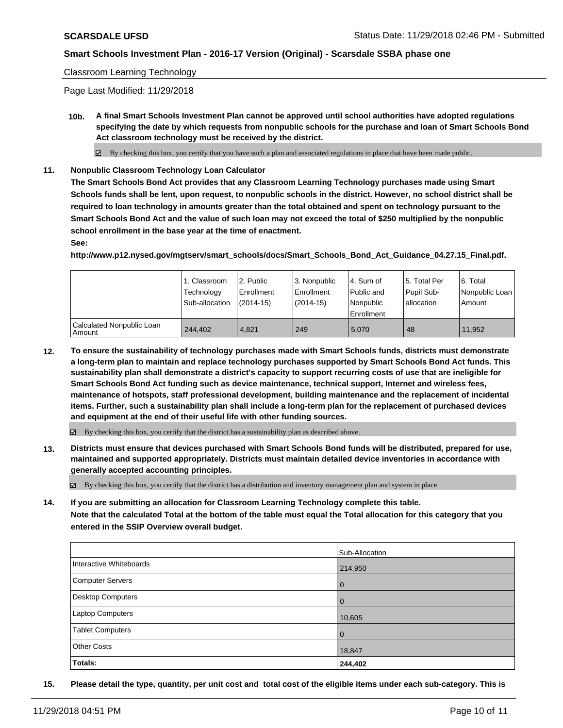### Classroom Learning Technology

Page Last Modified: 11/29/2018

**10b. A final Smart Schools Investment Plan cannot be approved until school authorities have adopted regulations specifying the date by which requests from nonpublic schools for the purchase and loan of Smart Schools Bond Act classroom technology must be received by the district.**

 $\boxtimes$  By checking this box, you certify that you have such a plan and associated regulations in place that have been made public.

**11. Nonpublic Classroom Technology Loan Calculator**

**The Smart Schools Bond Act provides that any Classroom Learning Technology purchases made using Smart Schools funds shall be lent, upon request, to nonpublic schools in the district. However, no school district shall be required to loan technology in amounts greater than the total obtained and spent on technology pursuant to the Smart Schools Bond Act and the value of such loan may not exceed the total of \$250 multiplied by the nonpublic school enrollment in the base year at the time of enactment.**

**See:**

**http://www.p12.nysed.gov/mgtserv/smart\_schools/docs/Smart\_Schools\_Bond\_Act\_Guidance\_04.27.15\_Final.pdf.**

|                                       | 1. Classroom<br>Technology<br>Sub-allocation | l 2. Public<br>Enrollment<br>$(2014-15)$ | 3. Nonpublic<br>Enrollment<br>$(2014-15)$ | 4. Sum of<br>Public and<br>Nonpublic<br>Enrollment | l 5. Total Per<br>Pupil Sub-<br>lallocation | l 6. Total<br>Nonpublic Loan<br>Amount |
|---------------------------------------|----------------------------------------------|------------------------------------------|-------------------------------------------|----------------------------------------------------|---------------------------------------------|----------------------------------------|
| Calculated Nonpublic Loan<br>  Amount | 244.402                                      | 4.821                                    | 249                                       | 5.070                                              | 48                                          | 11.952                                 |

**12. To ensure the sustainability of technology purchases made with Smart Schools funds, districts must demonstrate a long-term plan to maintain and replace technology purchases supported by Smart Schools Bond Act funds. This sustainability plan shall demonstrate a district's capacity to support recurring costs of use that are ineligible for Smart Schools Bond Act funding such as device maintenance, technical support, Internet and wireless fees, maintenance of hotspots, staff professional development, building maintenance and the replacement of incidental items. Further, such a sustainability plan shall include a long-term plan for the replacement of purchased devices and equipment at the end of their useful life with other funding sources.**

 $\boxtimes$  By checking this box, you certify that the district has a sustainability plan as described above.

**13. Districts must ensure that devices purchased with Smart Schools Bond funds will be distributed, prepared for use, maintained and supported appropriately. Districts must maintain detailed device inventories in accordance with generally accepted accounting principles.**

By checking this box, you certify that the district has a distribution and inventory management plan and system in place.

**14. If you are submitting an allocation for Classroom Learning Technology complete this table.**

**Note that the calculated Total at the bottom of the table must equal the Total allocation for this category that you entered in the SSIP Overview overall budget.**

|                          | Sub-Allocation |
|--------------------------|----------------|
| Interactive Whiteboards  | 214,950        |
| Computer Servers         | $\overline{0}$ |
| <b>Desktop Computers</b> | $\overline{0}$ |
| <b>Laptop Computers</b>  | 10,605         |
| <b>Tablet Computers</b>  | $\overline{0}$ |
| <b>Other Costs</b>       | 18,847         |
| Totals:                  | 244,402        |

**15. Please detail the type, quantity, per unit cost and total cost of the eligible items under each sub-category. This is**